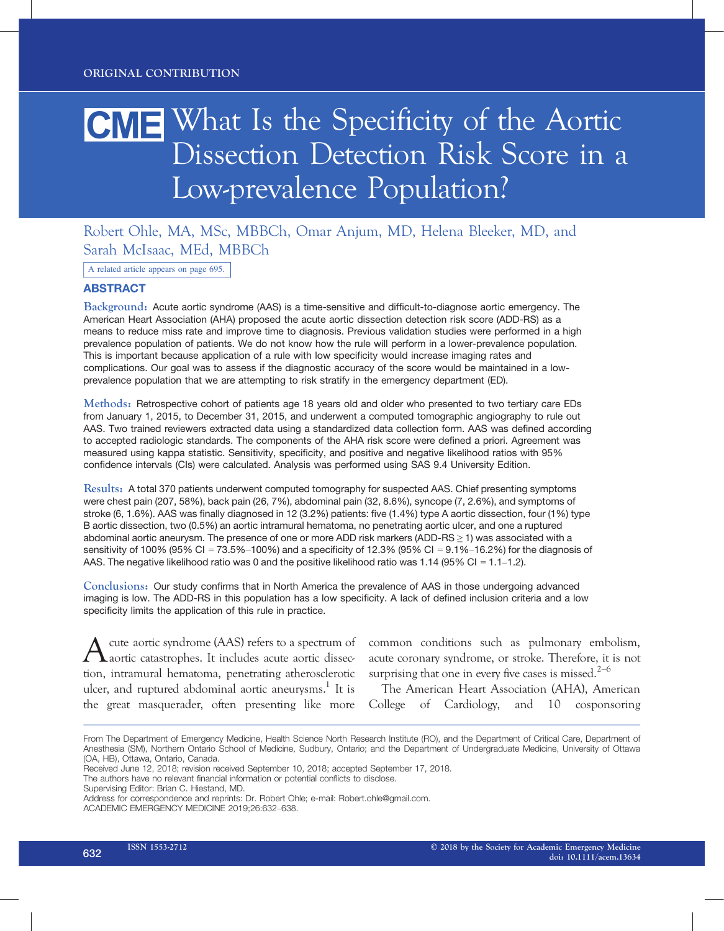# CME What Is the Specificity of the Aortic Dissection Detection Risk Score in a Low-prevalence Population?

## Robert Ohle, MA, MSc, MBBCh, Omar Anjum, MD, Helena Bleeker, MD, and Sarah McIsaac, MEd, MBBCh

A related article appears on page 695.

### ABSTRACT

Background: Acute aortic syndrome (AAS) is a time-sensitive and difficult-to-diagnose aortic emergency. The American Heart Association (AHA) proposed the acute aortic dissection detection risk score (ADD-RS) as a means to reduce miss rate and improve time to diagnosis. Previous validation studies were performed in a high prevalence population of patients. We do not know how the rule will perform in a lower-prevalence population. This is important because application of a rule with low specificity would increase imaging rates and complications. Our goal was to assess if the diagnostic accuracy of the score would be maintained in a lowprevalence population that we are attempting to risk stratify in the emergency department (ED).

Methods: Retrospective cohort of patients age 18 years old and older who presented to two tertiary care EDs from January 1, 2015, to December 31, 2015, and underwent a computed tomographic angiography to rule out AAS. Two trained reviewers extracted data using a standardized data collection form. AAS was defined according to accepted radiologic standards. The components of the AHA risk score were defined a priori. Agreement was measured using kappa statistic. Sensitivity, specificity, and positive and negative likelihood ratios with 95% confidence intervals (CIs) were calculated. Analysis was performed using SAS 9.4 University Edition.

Results: A total 370 patients underwent computed tomography for suspected AAS. Chief presenting symptoms were chest pain (207, 58%), back pain (26, 7%), abdominal pain (32, 8.6%), syncope (7, 2.6%), and symptoms of stroke (6, 1.6%). AAS was finally diagnosed in 12 (3.2%) patients: five (1.4%) type A aortic dissection, four (1%) type B aortic dissection, two (0.5%) an aortic intramural hematoma, no penetrating aortic ulcer, and one a ruptured abdominal aortic aneurysm. The presence of one or more ADD risk markers (ADD-RS ≥ 1) was associated with a sensitivity of 100% (95% CI = 73.5%–100%) and a specificity of 12.3% (95% CI = 9.1%–16.2%) for the diagnosis of AAS. The negative likelihood ratio was 0 and the positive likelihood ratio was 1.14 (95% CI = 1.1–1.2).

Conclusions: Our study confirms that in North America the prevalence of AAS in those undergoing advanced imaging is low. The ADD-RS in this population has a low specificity. A lack of defined inclusion criteria and a low specificity limits the application of this rule in practice.

cute aortic syndrome (AAS) refers to a spectrum of aortic catastrophes. It includes acute aortic dissection, intramural hematoma, penetrating atherosclerotic ulcer, and ruptured abdominal aortic aneurysms.<sup>1</sup> It is the great masquerader, often presenting like more

common conditions such as pulmonary embolism, acute coronary syndrome, or stroke. Therefore, it is not surprising that one in every five cases is missed.<sup>2–6</sup>

The American Heart Association (AHA), American College of Cardiology, and 10 cosponsoring

Supervising Editor: Brian C. Hiestand, MD.

From The Department of Emergency Medicine, Health Science North Research Institute (RO), and the Department of Critical Care, Department of Anesthesia (SM), Northern Ontario School of Medicine, Sudbury, Ontario; and the Department of Undergraduate Medicine, University of Ottawa (OA, HB), Ottawa, Ontario, Canada.

Received June 12, 2018; revision received September 10, 2018; accepted September 17, 2018.

The authors have no relevant financial information or potential conflicts to disclose.

Address for correspondence and reprints: Dr. Robert Ohle; e-mail: Robert.ohle@gmail.com. ACADEMIC EMERGENCY MEDICINE 2019;26:632–638.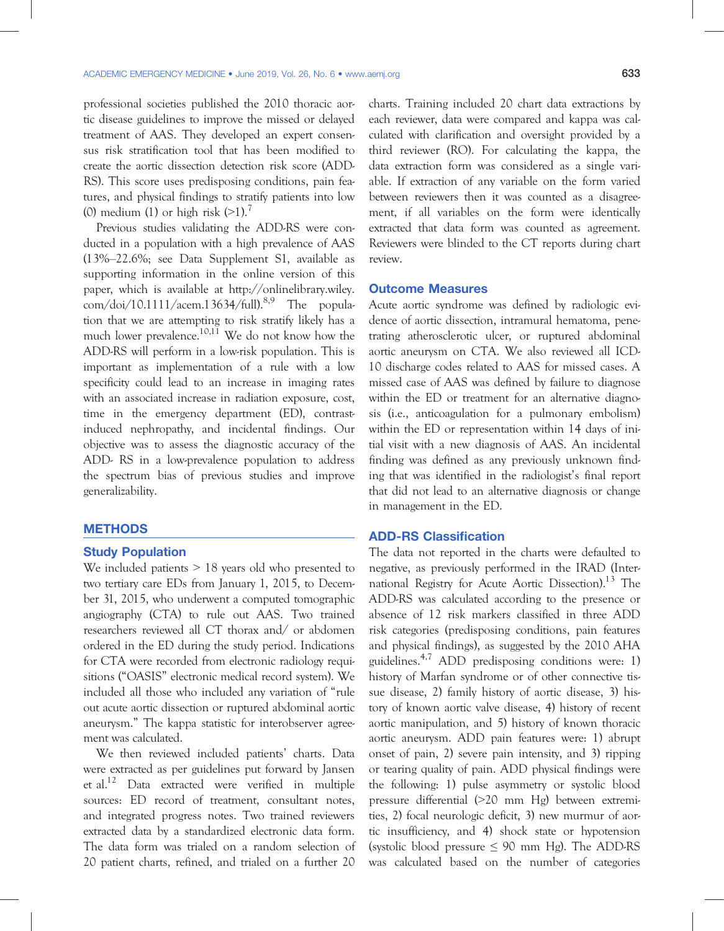professional societies published the 2010 thoracic aortic disease guidelines to improve the missed or delayed treatment of AAS. They developed an expert consensus risk stratification tool that has been modified to create the aortic dissection detection risk score (ADD-RS). This score uses predisposing conditions, pain features, and physical findings to stratify patients into low (0) medium (1) or high risk  $(>1)$ .

Previous studies validating the ADD-RS were conducted in a population with a high prevalence of AAS (13%–22.6%; see Data Supplement S1, available as supporting information in the online version of this paper, which is available at http://onlinelibrary.wiley.  $\text{com}/\text{doi}/10.1111/\text{acem}.13634/\text{full}.89$  The population that we are attempting to risk stratify likely has a much lower prevalence.<sup>10,11</sup> We do not know how the ADD-RS will perform in a low-risk population. This is important as implementation of a rule with a low specificity could lead to an increase in imaging rates with an associated increase in radiation exposure, cost, time in the emergency department (ED), contrastinduced nephropathy, and incidental findings. Our objective was to assess the diagnostic accuracy of the ADD- RS in a low-prevalence population to address the spectrum bias of previous studies and improve generalizability.

#### **METHODS**

#### Study Population

We included patients  $> 18$  years old who presented to two tertiary care EDs from January 1, 2015, to December 31, 2015, who underwent a computed tomographic angiography (CTA) to rule out AAS. Two trained researchers reviewed all CT thorax and/ or abdomen ordered in the ED during the study period. Indications for CTA were recorded from electronic radiology requisitions ("OASIS" electronic medical record system). We included all those who included any variation of "rule out acute aortic dissection or ruptured abdominal aortic aneurysm." The kappa statistic for interobserver agreement was calculated.

We then reviewed included patients' charts. Data were extracted as per guidelines put forward by Jansen et al.12 Data extracted were verified in multiple sources: ED record of treatment, consultant notes, and integrated progress notes. Two trained reviewers extracted data by a standardized electronic data form. The data form was trialed on a random selection of 20 patient charts, refined, and trialed on a further 20 charts. Training included 20 chart data extractions by each reviewer, data were compared and kappa was calculated with clarification and oversight provided by a third reviewer (RO). For calculating the kappa, the data extraction form was considered as a single variable. If extraction of any variable on the form varied between reviewers then it was counted as a disagreement, if all variables on the form were identically extracted that data form was counted as agreement. Reviewers were blinded to the CT reports during chart review.

#### Outcome Measures

Acute aortic syndrome was defined by radiologic evidence of aortic dissection, intramural hematoma, penetrating atherosclerotic ulcer, or ruptured abdominal aortic aneurysm on CTA. We also reviewed all ICD-10 discharge codes related to AAS for missed cases. A missed case of AAS was defined by failure to diagnose within the ED or treatment for an alternative diagnosis (i.e., anticoagulation for a pulmonary embolism) within the ED or representation within 14 days of initial visit with a new diagnosis of AAS. An incidental finding was defined as any previously unknown finding that was identified in the radiologist's final report that did not lead to an alternative diagnosis or change in management in the ED.

### ADD-RS Classification

The data not reported in the charts were defaulted to negative, as previously performed in the IRAD (International Registry for Acute Aortic Dissection).<sup>13</sup> The ADD-RS was calculated according to the presence or absence of 12 risk markers classified in three ADD risk categories (predisposing conditions, pain features and physical findings), as suggested by the 2010 AHA guidelines.4,7 ADD predisposing conditions were: 1) history of Marfan syndrome or of other connective tissue disease, 2) family history of aortic disease, 3) history of known aortic valve disease, 4) history of recent aortic manipulation, and 5) history of known thoracic aortic aneurysm. ADD pain features were: 1) abrupt onset of pain, 2) severe pain intensity, and 3) ripping or tearing quality of pain. ADD physical findings were the following: 1) pulse asymmetry or systolic blood pressure differential (>20 mm Hg) between extremities, 2) focal neurologic deficit, 3) new murmur of aortic insufficiency, and 4) shock state or hypotension (systolic blood pressure  $\leq 90$  mm Hg). The ADD-RS was calculated based on the number of categories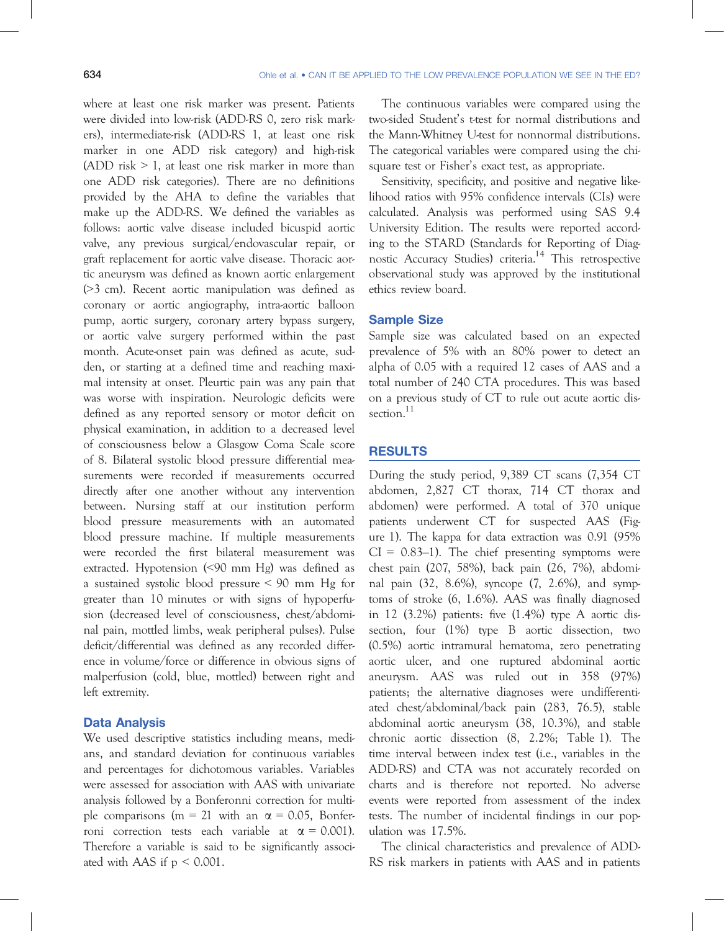where at least one risk marker was present. Patients were divided into low-risk (ADD-RS 0, zero risk markers), intermediate-risk (ADD-RS 1, at least one risk marker in one ADD risk category) and high-risk (ADD risk  $> 1$ , at least one risk marker in more than one ADD risk categories). There are no definitions provided by the AHA to define the variables that make up the ADD-RS. We defined the variables as follows: aortic valve disease included bicuspid aortic valve, any previous surgical/endovascular repair, or graft replacement for aortic valve disease. Thoracic aortic aneurysm was defined as known aortic enlargement (>3 cm). Recent aortic manipulation was defined as coronary or aortic angiography, intra-aortic balloon pump, aortic surgery, coronary artery bypass surgery, or aortic valve surgery performed within the past month. Acute-onset pain was defined as acute, sudden, or starting at a defined time and reaching maximal intensity at onset. Pleurtic pain was any pain that was worse with inspiration. Neurologic deficits were defined as any reported sensory or motor deficit on physical examination, in addition to a decreased level of consciousness below a Glasgow Coma Scale score of 8. Bilateral systolic blood pressure differential measurements were recorded if measurements occurred directly after one another without any intervention between. Nursing staff at our institution perform blood pressure measurements with an automated blood pressure machine. If multiple measurements were recorded the first bilateral measurement was extracted. Hypotension (<90 mm Hg) was defined as a sustained systolic blood pressure < 90 mm Hg for greater than 10 minutes or with signs of hypoperfusion (decreased level of consciousness, chest/abdominal pain, mottled limbs, weak peripheral pulses). Pulse deficit/differential was defined as any recorded difference in volume/force or difference in obvious signs of malperfusion (cold, blue, mottled) between right and left extremity.

#### Data Analysis

We used descriptive statistics including means, medians, and standard deviation for continuous variables and percentages for dichotomous variables. Variables were assessed for association with AAS with univariate analysis followed by a Bonferonni correction for multiple comparisons (m = 21 with an  $\alpha$  = 0.05, Bonferroni correction tests each variable at  $\alpha = 0.001$ ). Therefore a variable is said to be significantly associated with AAS if  $p < 0.001$ .

The continuous variables were compared using the two-sided Student's t-test for normal distributions and the Mann-Whitney U-test for nonnormal distributions. The categorical variables were compared using the chisquare test or Fisher's exact test, as appropriate.

Sensitivity, specificity, and positive and negative likelihood ratios with 95% confidence intervals (CIs) were calculated. Analysis was performed using SAS 9.4 University Edition. The results were reported according to the STARD (Standards for Reporting of Diagnostic Accuracy Studies) criteria.<sup>14</sup> This retrospective observational study was approved by the institutional ethics review board.

#### Sample Size

Sample size was calculated based on an expected prevalence of 5% with an 80% power to detect an alpha of 0.05 with a required 12 cases of AAS and a total number of 240 CTA procedures. This was based on a previous study of CT to rule out acute aortic dissection.<sup>11</sup>

#### RESULTS

During the study period, 9,389 CT scans (7,354 CT abdomen, 2,827 CT thorax, 714 CT thorax and abdomen) were performed. A total of 370 unique patients underwent CT for suspected AAS (Figure 1). The kappa for data extraction was 0.91 (95%  $CI = 0.83-1$ ). The chief presenting symptoms were chest pain (207, 58%), back pain (26, 7%), abdominal pain (32, 8.6%), syncope (7, 2.6%), and symptoms of stroke (6, 1.6%). AAS was finally diagnosed in 12  $(3.2\%)$  patients: five  $(1.4\%)$  type A aortic dissection, four (1%) type B aortic dissection, two (0.5%) aortic intramural hematoma, zero penetrating aortic ulcer, and one ruptured abdominal aortic aneurysm. AAS was ruled out in 358 (97%) patients; the alternative diagnoses were undifferentiated chest/abdominal/back pain (283, 76.5), stable abdominal aortic aneurysm (38, 10.3%), and stable chronic aortic dissection (8, 2.2%; Table 1). The time interval between index test (i.e., variables in the ADD-RS) and CTA was not accurately recorded on charts and is therefore not reported. No adverse events were reported from assessment of the index tests. The number of incidental findings in our population was 17.5%.

The clinical characteristics and prevalence of ADD-RS risk markers in patients with AAS and in patients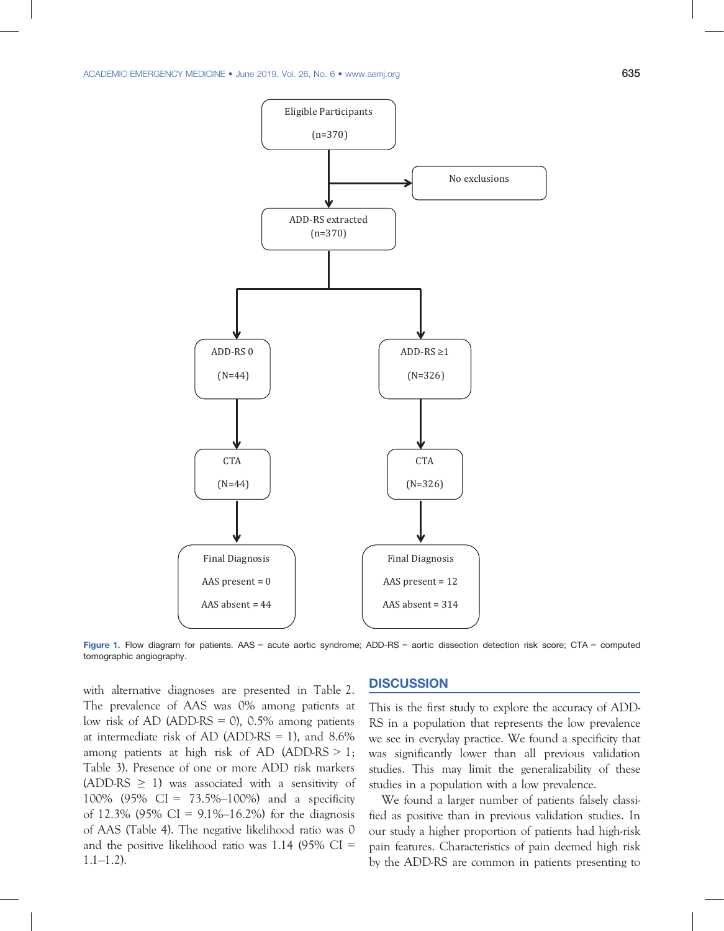

Figure 1. Flow diagram for patients. AAS = acute aortic syndrome; ADD-RS = aortic dissection detection risk score; CTA = computed tomographic angiography.

with alternative diagnoses are presented in Table 2. The prevalence of AAS was 0% among patients at low risk of AD (ADD-RS  $=$  0), 0.5% among patients at intermediate risk of AD (ADD-RS = 1), and  $8.6\%$ among patients at high risk of AD (ADD-RS  $> 1$ ; Table 3). Presence of one or more ADD risk markers (ADD-RS  $\geq$  1) was associated with a sensitivity of 100% (95% CI = 73.5%–100%) and a specificity of 12.3% (95% CI =  $9.1\%$ –16.2%) for the diagnosis of AAS (Table 4). The negative likelihood ratio was 0 and the positive likelihood ratio was  $1.14$  (95% CI =  $1.1 - 1.2$ ).

## **DISCUSSION**

This is the first study to explore the accuracy of ADD-RS in a population that represents the low prevalence we see in everyday practice. We found a specificity that was significantly lower than all previous validation studies. This may limit the generalizability of these studies in a population with a low prevalence.

We found a larger number of patients falsely classified as positive than in previous validation studies. In our study a higher proportion of patients had high-risk pain features. Characteristics of pain deemed high risk by the ADD-RS are common in patients presenting to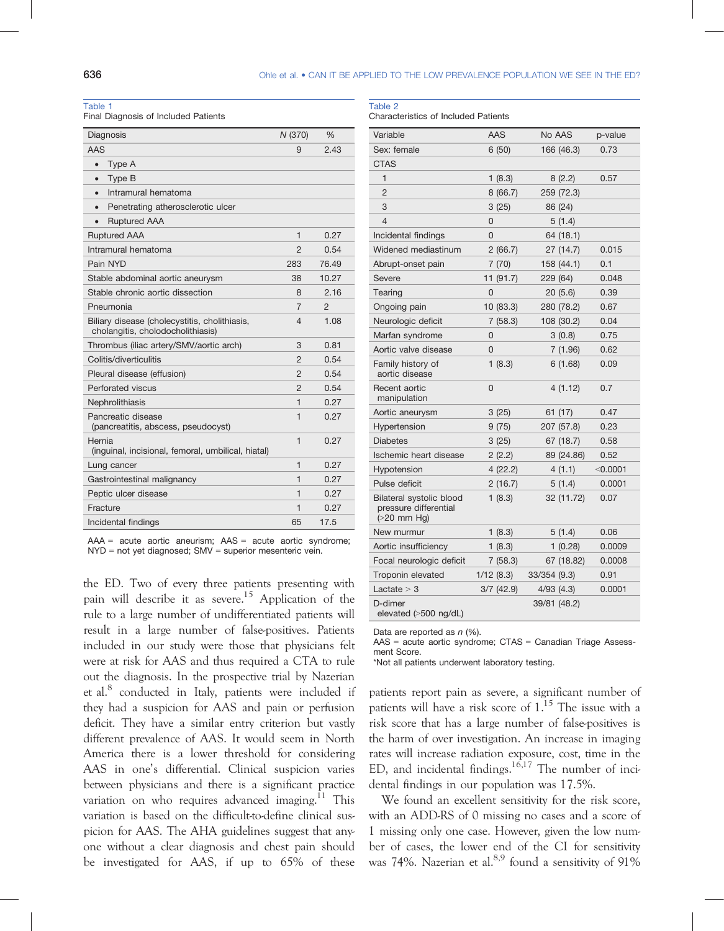#### Table 1

Final Diagnosis of Included Patients

| AAS<br>2.43<br>9<br>Type A<br>$\bullet$<br>Type B<br>$\bullet$<br>Intramural hematoma<br>$\bullet$<br>Penetrating atherosclerotic ulcer<br>$\bullet$<br><b>Ruptured AAA</b><br><b>Ruptured AAA</b><br>1<br>0.27<br>Intramural hematoma<br>$\overline{2}$<br>0.54<br>Pain NYD<br>76.49<br>283<br>10.27<br>Stable abdominal aortic aneurysm<br>38<br>Stable chronic aortic dissection<br>2.16<br>8<br>Pneumonia<br>7<br>$\mathcal{P}$<br>Biliary disease (cholecystitis, cholithiasis,<br>1.08<br>4<br>cholangitis, cholodocholithiasis)<br>Thrombus (iliac artery/SMV/aortic arch)<br>3<br>0.81<br>Colitis/diverticulitis<br>$\overline{2}$<br>0.54<br>2<br>Pleural disease (effusion)<br>0.54<br>Perforated viscus<br>2<br>0.54<br>0.27<br>1<br>Nephrolithiasis<br>Pancreatic disease<br>1<br>0.27<br>(pancreatitis, abscess, pseudocyst)<br>Hernia<br>1<br>0.27<br>(inguinal, incisional, femoral, umbilical, hiatal)<br>1<br>0.27<br>Lung cancer<br>0.27<br>Gastrointestinal malignancy<br>1<br>Peptic ulcer disease<br>1<br>0.27<br>Fracture<br>1<br>0.27<br>Incidental findings<br>65<br>17.5 | Diagnosis | N (370) | $\frac{0}{0}$ |
|---------------------------------------------------------------------------------------------------------------------------------------------------------------------------------------------------------------------------------------------------------------------------------------------------------------------------------------------------------------------------------------------------------------------------------------------------------------------------------------------------------------------------------------------------------------------------------------------------------------------------------------------------------------------------------------------------------------------------------------------------------------------------------------------------------------------------------------------------------------------------------------------------------------------------------------------------------------------------------------------------------------------------------------------------------------------------------------------------|-----------|---------|---------------|
|                                                                                                                                                                                                                                                                                                                                                                                                                                                                                                                                                                                                                                                                                                                                                                                                                                                                                                                                                                                                                                                                                                   |           |         |               |
|                                                                                                                                                                                                                                                                                                                                                                                                                                                                                                                                                                                                                                                                                                                                                                                                                                                                                                                                                                                                                                                                                                   |           |         |               |
|                                                                                                                                                                                                                                                                                                                                                                                                                                                                                                                                                                                                                                                                                                                                                                                                                                                                                                                                                                                                                                                                                                   |           |         |               |
|                                                                                                                                                                                                                                                                                                                                                                                                                                                                                                                                                                                                                                                                                                                                                                                                                                                                                                                                                                                                                                                                                                   |           |         |               |
|                                                                                                                                                                                                                                                                                                                                                                                                                                                                                                                                                                                                                                                                                                                                                                                                                                                                                                                                                                                                                                                                                                   |           |         |               |
|                                                                                                                                                                                                                                                                                                                                                                                                                                                                                                                                                                                                                                                                                                                                                                                                                                                                                                                                                                                                                                                                                                   |           |         |               |
|                                                                                                                                                                                                                                                                                                                                                                                                                                                                                                                                                                                                                                                                                                                                                                                                                                                                                                                                                                                                                                                                                                   |           |         |               |
|                                                                                                                                                                                                                                                                                                                                                                                                                                                                                                                                                                                                                                                                                                                                                                                                                                                                                                                                                                                                                                                                                                   |           |         |               |
|                                                                                                                                                                                                                                                                                                                                                                                                                                                                                                                                                                                                                                                                                                                                                                                                                                                                                                                                                                                                                                                                                                   |           |         |               |
|                                                                                                                                                                                                                                                                                                                                                                                                                                                                                                                                                                                                                                                                                                                                                                                                                                                                                                                                                                                                                                                                                                   |           |         |               |
|                                                                                                                                                                                                                                                                                                                                                                                                                                                                                                                                                                                                                                                                                                                                                                                                                                                                                                                                                                                                                                                                                                   |           |         |               |
|                                                                                                                                                                                                                                                                                                                                                                                                                                                                                                                                                                                                                                                                                                                                                                                                                                                                                                                                                                                                                                                                                                   |           |         |               |
|                                                                                                                                                                                                                                                                                                                                                                                                                                                                                                                                                                                                                                                                                                                                                                                                                                                                                                                                                                                                                                                                                                   |           |         |               |
|                                                                                                                                                                                                                                                                                                                                                                                                                                                                                                                                                                                                                                                                                                                                                                                                                                                                                                                                                                                                                                                                                                   |           |         |               |
|                                                                                                                                                                                                                                                                                                                                                                                                                                                                                                                                                                                                                                                                                                                                                                                                                                                                                                                                                                                                                                                                                                   |           |         |               |
|                                                                                                                                                                                                                                                                                                                                                                                                                                                                                                                                                                                                                                                                                                                                                                                                                                                                                                                                                                                                                                                                                                   |           |         |               |
|                                                                                                                                                                                                                                                                                                                                                                                                                                                                                                                                                                                                                                                                                                                                                                                                                                                                                                                                                                                                                                                                                                   |           |         |               |
|                                                                                                                                                                                                                                                                                                                                                                                                                                                                                                                                                                                                                                                                                                                                                                                                                                                                                                                                                                                                                                                                                                   |           |         |               |
|                                                                                                                                                                                                                                                                                                                                                                                                                                                                                                                                                                                                                                                                                                                                                                                                                                                                                                                                                                                                                                                                                                   |           |         |               |
|                                                                                                                                                                                                                                                                                                                                                                                                                                                                                                                                                                                                                                                                                                                                                                                                                                                                                                                                                                                                                                                                                                   |           |         |               |
|                                                                                                                                                                                                                                                                                                                                                                                                                                                                                                                                                                                                                                                                                                                                                                                                                                                                                                                                                                                                                                                                                                   |           |         |               |
|                                                                                                                                                                                                                                                                                                                                                                                                                                                                                                                                                                                                                                                                                                                                                                                                                                                                                                                                                                                                                                                                                                   |           |         |               |
|                                                                                                                                                                                                                                                                                                                                                                                                                                                                                                                                                                                                                                                                                                                                                                                                                                                                                                                                                                                                                                                                                                   |           |         |               |
|                                                                                                                                                                                                                                                                                                                                                                                                                                                                                                                                                                                                                                                                                                                                                                                                                                                                                                                                                                                                                                                                                                   |           |         |               |
|                                                                                                                                                                                                                                                                                                                                                                                                                                                                                                                                                                                                                                                                                                                                                                                                                                                                                                                                                                                                                                                                                                   |           |         |               |

 $AAA =$  acute aortic aneurism;  $AAS =$  acute aortic syndrome;  $NYD$  = not yet diagnosed;  $SMV$  = superior mesenteric vein.

the ED. Two of every three patients presenting with pain will describe it as severe.<sup>15</sup> Application of the rule to a large number of undifferentiated patients will result in a large number of false-positives. Patients included in our study were those that physicians felt were at risk for AAS and thus required a CTA to rule out the diagnosis. In the prospective trial by Nazerian et al.<sup>8</sup> conducted in Italy, patients were included if they had a suspicion for AAS and pain or perfusion deficit. They have a similar entry criterion but vastly different prevalence of AAS. It would seem in North America there is a lower threshold for considering AAS in one's differential. Clinical suspicion varies between physicians and there is a significant practice variation on who requires advanced imaging.<sup>11</sup> This variation is based on the difficult-to-define clinical suspicion for AAS. The AHA guidelines suggest that anyone without a clear diagnosis and chest pain should be investigated for AAS, if up to 65% of these

| Table 2                  |  |
|--------------------------|--|
| Charactoricties of Inclu |  |

Characteristics of Included Patients

| Variable                                                          | <b>AAS</b>   | No AAS       | p-value    |
|-------------------------------------------------------------------|--------------|--------------|------------|
| Sex: female                                                       | 6(50)        | 166 (46.3)   | 0.73       |
| <b>CTAS</b>                                                       |              |              |            |
| $\mathbf{1}$                                                      | 1(8.3)       | 8(2.2)       | 0.57       |
| $\overline{2}$                                                    | 8(66.7)      | 259 (72.3)   |            |
| 3                                                                 | 3(25)        | 86 (24)      |            |
| 4                                                                 | 0            | 5(1.4)       |            |
| Incidental findings                                               | 0            | 64 (18.1)    |            |
| Widened mediastinum                                               | 2(66.7)      | 27 (14.7)    | 0.015      |
| Abrupt-onset pain                                                 | 7(70)        | 158 (44.1)   | 0.1        |
| Severe                                                            | 11(91.7)     | 229 (64)     | 0.048      |
| Tearing                                                           | 0            | 20 (5.6)     | 0.39       |
| Ongoing pain                                                      | 10 (83.3)    | 280 (78.2)   | 0.67       |
| Neurologic deficit                                                | 7(58.3)      | 108 (30.2)   | 0.04       |
| Marfan syndrome                                                   | 0            | 3(0.8)       | 0.75       |
| Aortic valve disease                                              | 0            | 7(1.96)      | 0.62       |
| Family history of<br>aortic disease                               | 1(8.3)       | 6(1.68)      | 0.09       |
| Recent aortic<br>manipulation                                     | 0            | 4(1.12)      | 0.7        |
| Aortic aneurysm                                                   | 3(25)        | 61 (17)      | 0.47       |
| Hypertension                                                      | 9(75)        | 207 (57.8)   | 0.23       |
| <b>Diabetes</b>                                                   | 3(25)        | 67 (18.7)    | 0.58       |
| Ischemic heart disease                                            | 2(2.2)       | 89 (24.86)   | 0.52       |
| Hypotension                                                       | 4(22.2)      | 4(1.1)       | $<$ 0.0001 |
| Pulse deficit                                                     | 2(16.7)      | 5(1.4)       | 0.0001     |
| Bilateral systolic blood<br>pressure differential<br>$(20$ mm Hg) | 1(8.3)       | 32 (11.72)   | 0.07       |
| New murmur                                                        | 1(8.3)       | 5(1.4)       | 0.06       |
| Aortic insufficiency                                              | 1(8.3)       | 1(0.28)      | 0.0009     |
| Focal neurologic deficit                                          | 7(58.3)      | 67 (18.82)   | 0.0008     |
| Troponin elevated                                                 | 1/12(8.3)    | 33/354 (9.3) | 0.91       |
| Lactate $>$ 3                                                     | $3/7$ (42.9) | 4/93(4.3)    | 0.0001     |
| D-dimer<br>elevated (>500 ng/dL)                                  |              | 39/81 (48.2) |            |

Data are reported as  $n$  (%).

AAS = acute aortic syndrome; CTAS = Canadian Triage Assessment Score.

\*Not all patients underwent laboratory testing.

patients report pain as severe, a significant number of patients will have a risk score of  $1<sup>15</sup>$  The issue with a risk score that has a large number of false-positives is the harm of over investigation. An increase in imaging rates will increase radiation exposure, cost, time in the ED, and incidental findings. $16,17$  The number of incidental findings in our population was 17.5%.

We found an excellent sensitivity for the risk score, with an ADD-RS of 0 missing no cases and a score of 1 missing only one case. However, given the low number of cases, the lower end of the CI for sensitivity was 74%. Nazerian et al.<sup>8,9</sup> found a sensitivity of 91%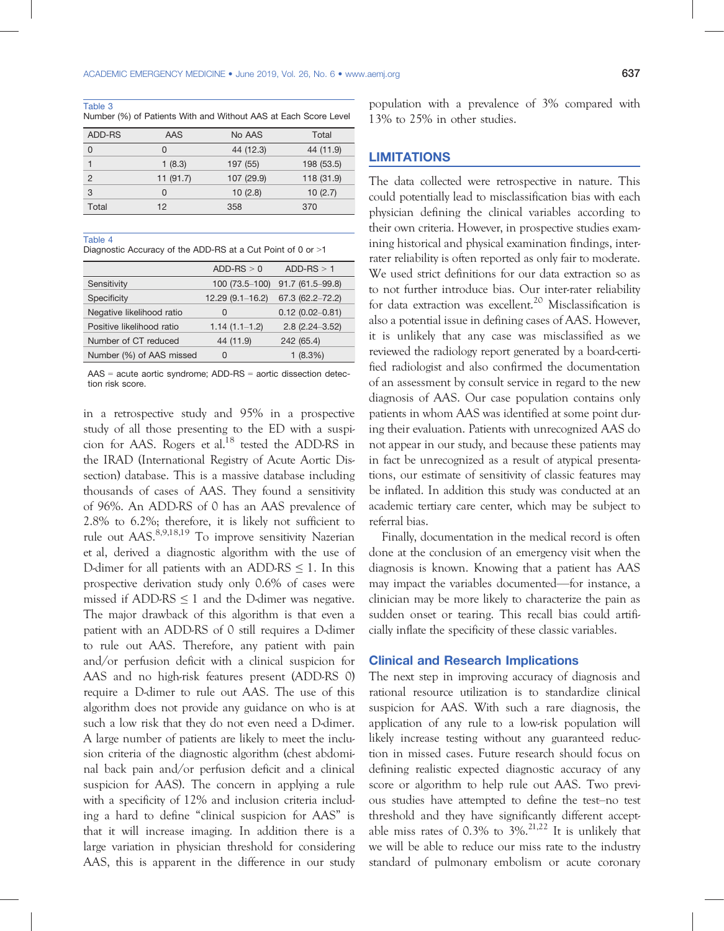Table 3

Number (%) of Patients With and Without AAS at Each Score Level

| ADD-RS | AAS      | No AAS     | Total      |
|--------|----------|------------|------------|
| 0      | 0        | 44 (12.3)  | 44 (11.9)  |
|        | 1(8.3)   | 197 (55)   | 198 (53.5) |
| 2      | 11(91.7) | 107 (29.9) | 118 (31.9) |
| 3      | 0        | 10(2.8)    | 10(2.7)    |
| Total  | 12       | 358        | 370        |

#### Table 4

Diagnostic Accuracy of the ADD-RS at a Cut Point of 0 or >1

|                           | $ADD-RS > 0$        | $ADD-RS > 1$        |
|---------------------------|---------------------|---------------------|
| Sensitivity               | 100 (73.5-100)      | $91.7(61.5 - 99.8)$ |
| Specificity               | $12.29(9.1 - 16.2)$ | $67.3(62.2 - 72.2)$ |
| Negative likelihood ratio | 0                   | $0.12(0.02 - 0.81)$ |
| Positive likelihood ratio | $1.14(1.1-1.2)$     | $2.8(2.24 - 3.52)$  |
| Number of CT reduced      | 44 (11.9)           | 242 (65.4)          |
| Number (%) of AAS missed  | O                   | 1(8.3%)             |

AAS = acute aortic syndrome; ADD-RS = aortic dissection detection risk score.

in a retrospective study and 95% in a prospective study of all those presenting to the ED with a suspicion for AAS. Rogers et al.<sup>18</sup> tested the ADD-RS in the IRAD (International Registry of Acute Aortic Dissection) database. This is a massive database including thousands of cases of AAS. They found a sensitivity of 96%. An ADD-RS of 0 has an AAS prevalence of 2.8% to 6.2%; therefore, it is likely not sufficient to rule out AAS.<sup>8,9,18,19</sup> To improve sensitivity Nazerian et al, derived a diagnostic algorithm with the use of D-dimer for all patients with an ADD-RS  $\leq$  1. In this prospective derivation study only 0.6% of cases were missed if ADD-RS  $\leq$  1 and the D-dimer was negative. The major drawback of this algorithm is that even a patient with an ADD-RS of 0 still requires a D-dimer to rule out AAS. Therefore, any patient with pain and/or perfusion deficit with a clinical suspicion for AAS and no high-risk features present (ADD-RS 0) require a D-dimer to rule out AAS. The use of this algorithm does not provide any guidance on who is at such a low risk that they do not even need a D-dimer. A large number of patients are likely to meet the inclusion criteria of the diagnostic algorithm (chest abdominal back pain and/or perfusion deficit and a clinical suspicion for AAS). The concern in applying a rule with a specificity of 12% and inclusion criteria including a hard to define "clinical suspicion for AAS" is that it will increase imaging. In addition there is a large variation in physician threshold for considering AAS, this is apparent in the difference in our study population with a prevalence of 3% compared with 13% to 25% in other studies.

#### LIMITATIONS

The data collected were retrospective in nature. This could potentially lead to misclassification bias with each physician defining the clinical variables according to their own criteria. However, in prospective studies examining historical and physical examination findings, interrater reliability is often reported as only fair to moderate. We used strict definitions for our data extraction so as to not further introduce bias. Our inter-rater reliability for data extraction was excellent.<sup>20</sup> Misclassification is also a potential issue in defining cases of AAS. However, it is unlikely that any case was misclassified as we reviewed the radiology report generated by a board-certified radiologist and also confirmed the documentation of an assessment by consult service in regard to the new diagnosis of AAS. Our case population contains only patients in whom AAS was identified at some point during their evaluation. Patients with unrecognized AAS do not appear in our study, and because these patients may in fact be unrecognized as a result of atypical presentations, our estimate of sensitivity of classic features may be inflated. In addition this study was conducted at an academic tertiary care center, which may be subject to referral bias.

Finally, documentation in the medical record is often done at the conclusion of an emergency visit when the diagnosis is known. Knowing that a patient has AAS may impact the variables documented—for instance, a clinician may be more likely to characterize the pain as sudden onset or tearing. This recall bias could artificially inflate the specificity of these classic variables.

#### Clinical and Research Implications

The next step in improving accuracy of diagnosis and rational resource utilization is to standardize clinical suspicion for AAS. With such a rare diagnosis, the application of any rule to a low-risk population will likely increase testing without any guaranteed reduction in missed cases. Future research should focus on defining realistic expected diagnostic accuracy of any score or algorithm to help rule out AAS. Two previous studies have attempted to define the test–no test threshold and they have significantly different acceptable miss rates of  $0.3\%$  to  $3\%$ <sup>21,22</sup> It is unlikely that we will be able to reduce our miss rate to the industry standard of pulmonary embolism or acute coronary